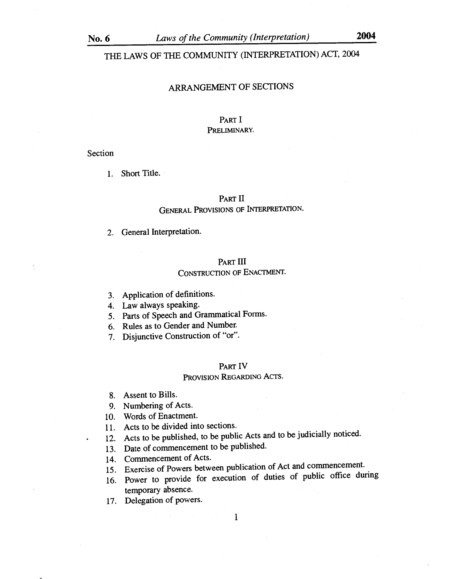THE LAWS OF THE COMMUNITY (INTERPRETATION) ACT, 2004

# ARRANGEMENT OF SECTIONS

# PART I PRELIMINARY.

### Section

1. Short Title.

### PART II

# GENERAL PROVISIONS OF INTERPRETATION.

2. General Interpretation.

### PART III

# CONSTRUCTION OF ENACTMENT.

- 3. Application of definitions.
- 4. Law always speaking.
- 5. Parts of Speech and Grammatical Forms.
- 6. Rules as to Gender and Number.
- 7. Disjunctive Construction of "or".

### PART IV

### PROVISION REGARDING ACTS.

- 8. Assent to Bills.
- 9. Numbering of Acts.
- 10. Words of Enactment.
- 11. Acts to be divided into sections.
- 12. Acts to be published, to be public Acts and to be judicially noticed.
- 13. Date of commencement to be published.
- 14. Commencement of Acts.
- 15. Exercise of Powers between publication of Act and commencement.
- 16. Power to provide for execution of duties of public office during temporary absence.
- 17. Delegation of powers.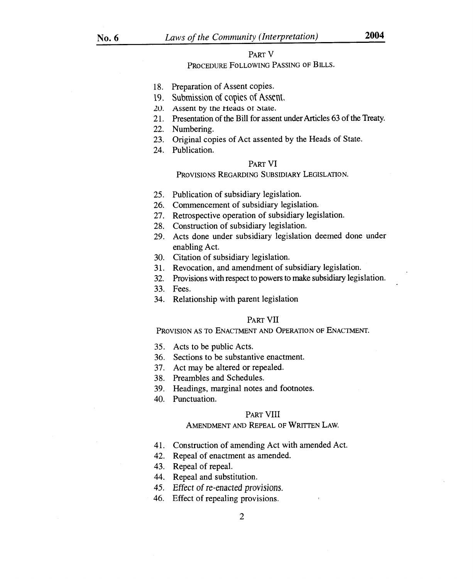### PART V

# PROCEDURE FOLLOWING PASSING OF BILLS.

- 18. Preparation of Assent copies.
- 19. Submission of copies of Assent,
- 20. Assent by the Heads or State.
- 21. Presentation of the Bill for assent under Articles 63 of the Treaty.
- 22. Numbering.
- 23. Original copies of Act assented by the Heads of State.
- 24. Publication.

# PART VI

PROVISIONS REGARDING SUBSIDIARY LEGISLATION.

- 25. Publication of subsidiary legislation.
- 26. Commencement of subsidiary legislation.
- 27. Retrospective operation of subsidiary legislation.
- 28. Construction of subsidiary legislation.
- 29. Acts done under subsidiary legislation deemed done under enabling Act.
- 30. Citation of subsidiary legislation.
- 31. Revocation, and amendment of subsidiary legislation.
- 32. Provisions with respect to powers to make subsidiary legislation.
- 33. Fees.
- 34. Relationship with parent legislation

### PART VII

PROVISION AS TO ENACTMENT AND OPERATION OF ENACTMENT.

- 35. Acts to be public Acts.
- 36. Sections to be substantive enactment.
- 37. Act may be altered or repealed.
- 38. Preambles and Schedules.
- 39. Headings, marginal notes and footnotes.
- 40. Punctuation.

### PART VIII

### AMENDMENT AND REPEAL OF WRITTEN LAW.

- 41. Construction of amending Act with amended Act.
- 42. Repeal of enactment as amended.
- 43. Repeal of repeal.
- 44. Repeal and substitution.
- *45. Effect of re-enacted provisions.*
- 46. Effect of repealing provisions.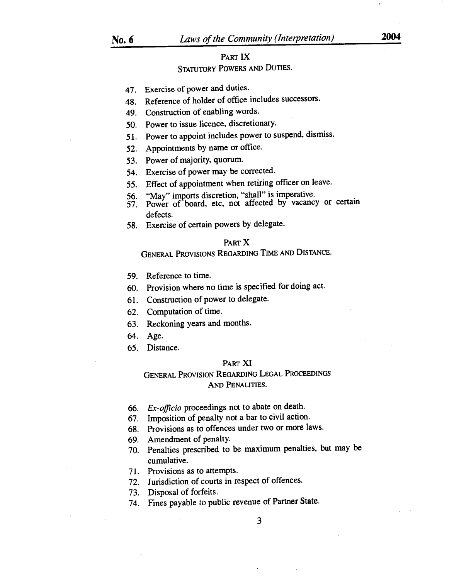# **PART IX**

# **STATUTORY POWERS AND DUTIES.**

- 47. Exercise of power and duties.
- 48. Reference of holder of office includes successors.
- 49. Construction of enabling words.
- 50. Power to issue licence, discretionary.
- 51. Power to appoint includes power to suspend, dismiss.
- 52. Appointments by name or office.
- 53. Power of majority, quorum.
- 54. Exercise of power may be corrected.
- 55. Effect of appointment when retiring officer on leave.
- 56. "May" imports discretion, "shall" is imperative.
- 57. Power of board, etc, not affected by vacancy or certain defects.
- 58. Exercise of certain powers by delegate.

### **PART X**

# **GENERAL PROVISIONS REGARDING TIME AND DISTANCE.**

- 59. Reference to time.
- 60. Provision where no time is specified for doing act.
- 61. Construction of power to delegate.
- 62. Computation of time.
- 63. Reckoning years and months.
- 64. Age.
- 65. Distance.

### **PART XI**

# **GENERAL PROVISION REGARDING LEGAL PROCEEDINGS AND PENALITIES.**

- *66. Ex-officio* proceedings not to abate on death.
- 67. Imposition of penalty not a bar to civil action.
- 68. Provisions as to offences under two or more laws.
- 69. Amendment of penalty.
- 70. Penalties prescribed to be maximum penalties, but may be cumulative.
- 71. Provisions as to attempts.
- 72. Jurisdiction of courts in respect of offences.
- 73. Disposal of forfeits.
- 74. Fines payable to public revenue of Partner State.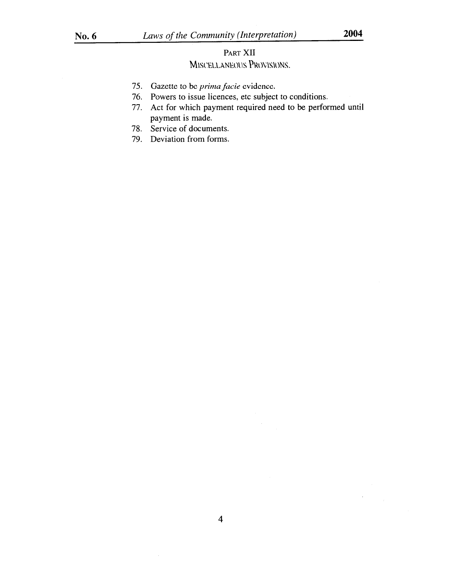$\bar{z}$ 

# PART XII MISCELLANEOUS PROVISIONS.

- 75. Gazette to be *prima facie* evidence.
- 76. Powers to issue licences, etc subject to conditions.
- 77. Act for which payment required need to be performed until payment is made.
- 78. Service of documents.
- 79. Deviation from forms.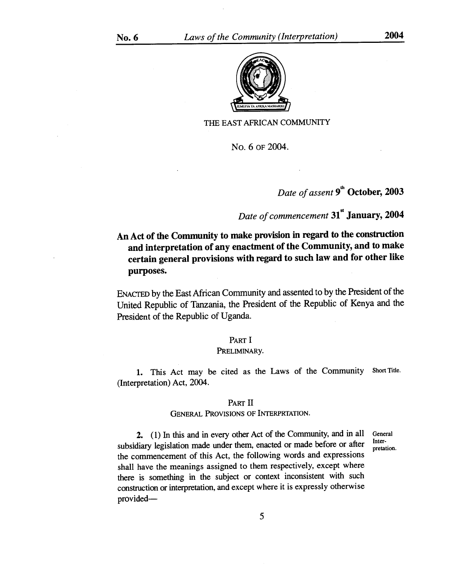

### THE EAST AFRICAN COMMUNITY

No. 6 OF 2004.

# *Date of assent* **9th October, 2003**

# *Date of commencement* **31st January, 2004**

# **An Act of the Community to make provision in regard to the construction and interpretation of any enactment of the Community, and to make certain general provisions with regard to such law and for other like purposes.**

ENACTED by the East African Community and assented to by the President of the United Republic of Tanzania, the President of the Republic of Kenya and the President of the Republic of Uganda.

### PART I

### PRELIMINARy.

1. This Act may be cited as the Laws of the Community Short Title. (Interpretation) Act, 2004.

### PART II

## GENERAL PROVISIONS OF INTERPRTATION.

2. (1) In this and in every other Act of the Community, and in all subsidiary legislation made under them, enacted or made before or after the commencement of this Act, the following words and expressions shall have the meanings assigned to them respectively, except where there is something in the subject or context inconsistent with such construction or interpretation, and except where it is expressly otherwise provided-General Interpretation.

5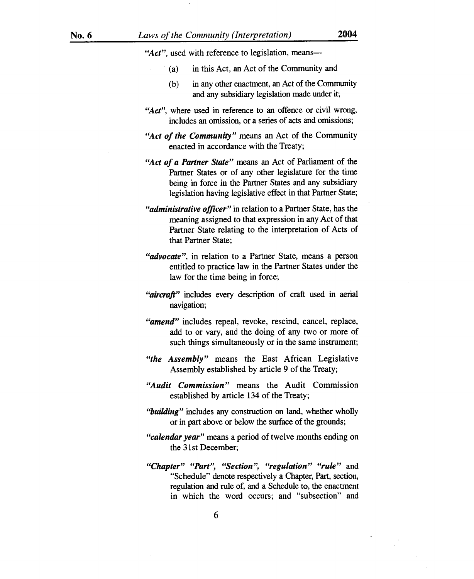"Act", used with reference to legislation, means—

- (a) in this Act, an Act of the Community and
- (b) in any other enactment, an Act of the Community and any subsidiary legislation made under it;
- "Act", where used in reference to an offence or civil wrong, includes an omission, or a series of acts and omissions;
- *"Act of the Community"* means an Act of the Community enacted in accordance with the Treaty;
- *"Act of a Partner State"* means an Act of Parliament of the Partner States or of any other legislature for the time being in force in the Partner States and any subsidiary legislation having legislative effect in that Partner State;
- *"administrative officer"* in relation to a Partner State, has the meaning assigned to that expression in any Act of that Partner State relating to the interpretation of Acts of that Partner State;
- *"advocate",* in relation to a Partner State, means a person entitled to practice law in the Partner States under the law for the time being in force;
- *"aircraft"* includes every description of craft used in aerial navigation;
- *"amend"* includes repeal, revoke, rescind, cancel, replace, add to or vary, and the doing of any two or more of such things simultaneously or in the same instrument;
- *"the Assembly"* means the East African Legislative Assembly established by article 9 of the Treaty;
- *"Audit Commission"* means the Audit Commission established by article 134 of the Treaty;
- *"building"* includes any construction on land, whether wholly or in part above or below the surface of the grounds;
- *"calendar year"* means a period of twelve months ending on the 31st December;
- *"Chapter" "Part", "Section", "regulation" "rule"* and "Schedule" denote respectively a Chapter, Part, section, regulation and rule of, and a Schedule to, the enactment in which the word occurs; and "subsection" and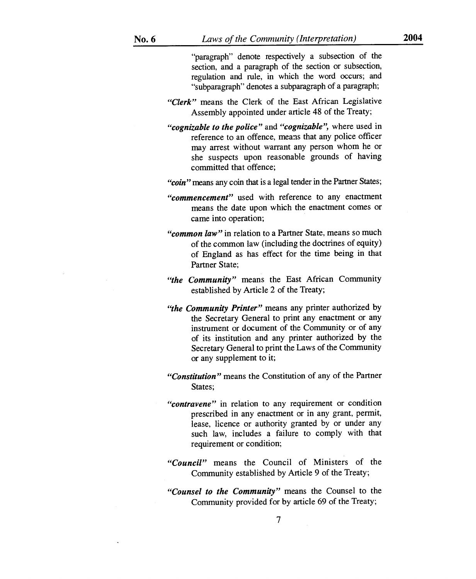"paragraph" denote respectively a subsection of the section, and a paragraph of the section or subsection, regulation and rule, in which the word occurs; and "subparagraph" denotes a subparagraph of a paragraph;

- *"Clerk"* means the Clerk of the East African Legislative Assembly appointed under article 48 of the Treaty;
- *"cognizable to the police"* and *"cognizable",* where used in reference to an offence, means that any police officer may arrest without warrant any person whom he or she suspects upon reasonable grounds of having committed that offence;

*"coin"* means any coin that is a legal tender in the Partner States;

- *"commencement"* used with reference to any enactment means the date upon which the enactment comes or came into operation;
- *"common law"* in relation to a Partner State, means so much of the common law (including the doctrines of equity) of England as has effect for the time being in that Partner State;
- *"the Community"* means the East African Community established by Article 2 of the Treaty;
- *"the Community Printer"* means any printer authorized by the Secretary General to print any enactment or any instrument or document of the Community or of any of its institution and any printer authorized by the Secretary General to print the Laws of the Community or any supplement to it;
- *"Constitution"* means the Constitution of any of the Partner States;
- *"contravene"* in relation to any requirement or condition prescribed in any enactment or in any grant, permit, lease, licence or authority granted by or under any such law, includes a failure to comply with that requirement or condition;
- *"Council"* means the Council of Ministers of the Community established by Article 9 of the Treaty;
- *"Counsel to the Community"* means the Counsel to the Community provided for by article 69 of the Treaty;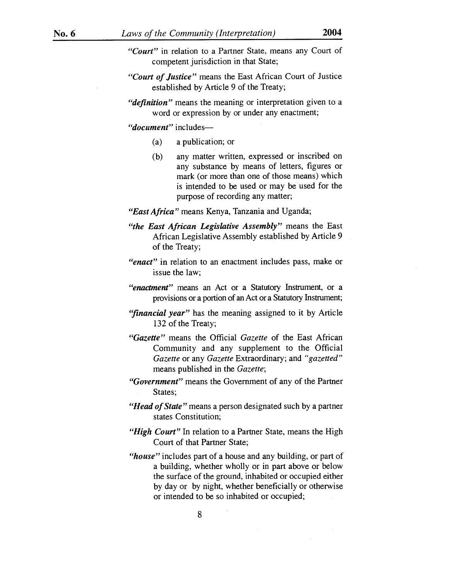- *"Court"* in relation to a Partner State, means any Court of competent jurisdiction in that State;
- *"Court of Justice"* means the East African Court of Justice established by Article 9 of the Treaty;
- *"definition"* means the meaning or interpretation given to a word or expression by or under any enactment;

*"document"* includes—

- (a) a publication; or
- (b) any matter written, expressed or inscribed on any substance by means of letters, figures or mark (or more than one of those means) which is intended to be used or may be used for the purpose of recording any matter;

*"East Africa"* means Kenya, Tanzania and Uganda;

- *"the East African Legislative Assembly"* means the East African Legislative Assembly established by Article 9 of the Treaty;
- *"enact"* in relation to an enactment includes pass, make or issue the law;
- *"enactment"* means an Act or a Statutory Instrument, or a provisions or a portion of an Act or a Statutory Instrument;
- *"financial year"* has the meaning assigned to it by Article 132 of the Treaty;
- *"Gazette"* means the Official *Gazette* of the East African Community and any supplement to the Official *Gazette* or any *Gazette* Extraordinary; and *"gazetted"*  means published in the *Gazette;*
- *"Government"* means the Government of any of the Partner States;
- *"Head of State"* means a person designated such by a partner states Constitution;
- *"High Court"* In relation to a Partner State, means the High Court of that Partner State;
- *"house"* includes part of a house and any building, or part of a building, whether wholly or in part above or below the surface of the ground, inhabited or occupied either by day or by night, whether beneficially or otherwise or intended to be so inhabited or occupied;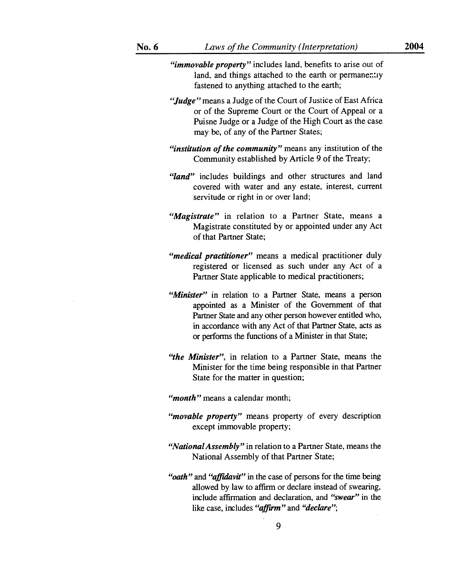*"immovable property"* includes land, benefits to arise out of land, and things attached to the earth or permanently fastened to anything attached to the earth;

- *"Judge"* means a Judge of the Court of Justice of East Africa or of the Supreme Court or the Court of Appeal or a Puisne Judge or a Judge of the High Court as the case may be, of any of the Partner States;
- *"institution of the community"* means any institution of the Community established by Article 9 of the Treaty;
- *"land"* includes buildings and other structures and land covered with water and any estate, interest, current servitude or right in or over land;
- *"Magistrate"* in relation to a Partner State, means a Magistrate constituted by or appointed under any Act of that Partner State;
- *"medical practitioner"* means a medical practitioner duly registered or licensed as such under any Act of a Partner State applicable to medical practitioners;
- "Minister" in relation to a Partner State, means a person appointed as a Minister of the Government of that Partner State and any other person however entitled who, in accordance with any Act of that Partner State, acts as or performs the functions of a Minister in that State;
- *"the Minister",* in relation to a Partner State, means the Minister for the time being responsible in that Partner State for the matter in question;

*"month"* means a calendar month;

- *"movable property"* means property of every description except immovable property;
- *"National Assembly"* in relation to a Partner State, means the National Assembly of that Partner State;
- *"oath"* and *"affidavit"* in the case of persons for the time being allowed by law to affirm or declare instead of swearing, include affirmation and declaration, and *"swear"* in the like case, includes *"affirm"* and *"declare";*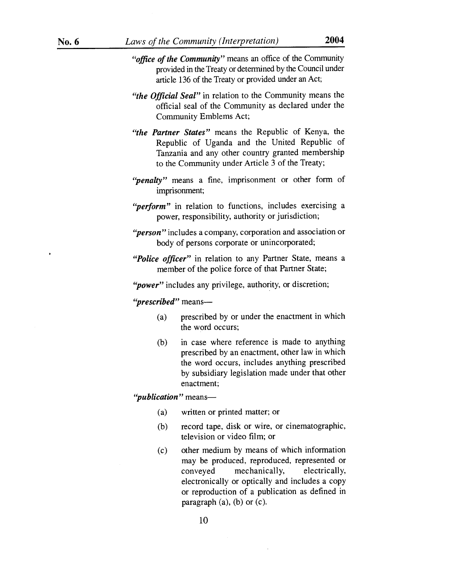- *"office of the Community"* means an office of the Community provided in the Treaty or determined by the Council under article 136 of the Treaty or provided under an Act;
- *"the Official Seal"* in relation to the Community means the official seal of the Community as declared under the Community Emblems Act;
- *"the Partner States"* means the Republic of Kenya, the Republic of Uganda and the United Republic of Tanzania and any other country granted membership to the Community under Article 3 of the Treaty;
- *"penalty"* means a fine, imprisonment or other form of imprisonment;
- *"perform"* in relation to functions, includes exercising a power, responsibility, authority or jurisdiction;
- *"person"* includes a company, corporation and association or body of persons corporate or unincorporated;
- *"Police officer"* in relation to any Partner State, means a member of the police force of that Partner State;

*"power"* includes any privilege, authority, or discretion;

*"prescribed"* means—

- (a) prescribed by or under the enactment in which the word occurs;
- (b) in case where reference is made to anything prescribed by an enactment, other law in which the word occurs, includes anything prescribed by subsidiary legislation made under that other enactment;

*"publication"* means—

- (a) written or printed matter; or
- (b) record tape, disk or wire, or cinematographic, television or video film; or
- (c) other medium by means of which information may be produced, reproduced, represented or conveyed mechanically, electrically, electronically or optically and includes a copy or reproduction of a publication as defined in paragraph  $(a)$ ,  $(b)$  or  $(c)$ .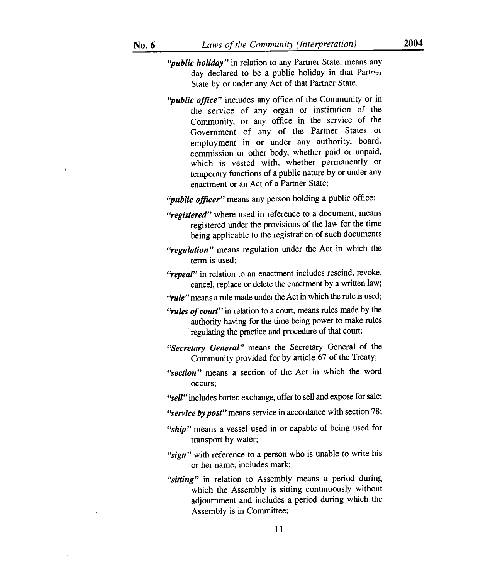- *"public holiday"* in relation to any Partner State, means any day declared to be a public holiday in that Partner State by or under any Act of that Partner State.
- *"public office"* includes any office of the Community or in the *service* of any organ or institution of the Community, or any office in the service of the Government of any of the Partner States or employment in or under any authority, board, commission or other body, whether paid or unpaid, which is vested with, whether permanently or temporary functions of a public nature by or under any enactment or an Act of a Partner State;

*"public officer"* means any person holding a public office;

- *"registered"* where used in reference to a document, means registered under the provisions of the law for the time being applicable to the registration of such documents
- *"regulation"* means regulation under the Act in which the term is used;
- "repeal" in relation to an enactment includes rescind, revoke, cancel, replace or delete the enactment by a written law;
- *"rule"* means a rule made under the Act in which the rule is used;
- *"rules of court"* in relation to a court, means rules made by the authority having for the time being power to make rules regulating the practice and procedure of that court;
- *"Secretary General"* means the Secretary General of the Community provided for by article 67 of the Treaty;
- *"section"* means a section of the Act in which the word occurs;

*"sell"* includes barter, exchange, offer to sell and expose for sale;

- *"service by post" means* service in accordance with section 78;
- *"ship"* means a vessel used in or capable of being used for transport by water;
- *"sign"* with reference to a person who is unable to write his or her name, includes mark;
- *"sitting"* in relation to Assembly means a period during which the Assembly is sitting continuously without adjournment and includes a period during which the Assembly is in Committee;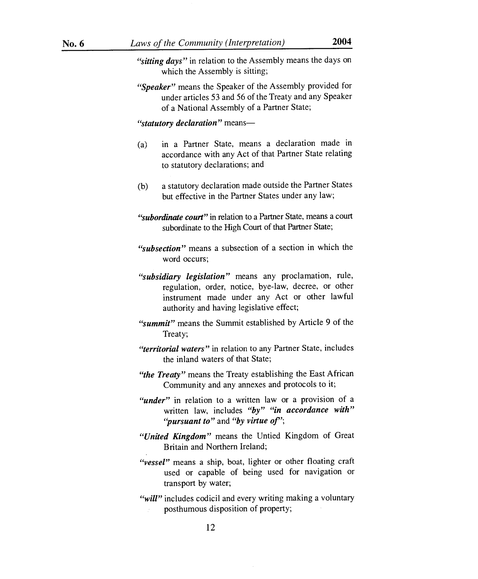- *"sitting days"* in relation to the Assembly means the days on which the Assembly is sitting;
- *"Speaker"* means the Speaker of the Assembly provided for under articles 53 and 56 of the Treaty and any Speaker of a National Assembly of a Partner State;

*"statutory declaration"* means—

- (a) in a Partner State, means a declaration made in accordance with any Act of that Partner State relating to statutory declarations; and
- (b) a statutory declaration made outside the Partner States but effective in the Partner States under any law;
- *"subordinate court"* in relation to a Partner State, means a court subordinate to the High Court of that Partner State;
- *"subsection"* means a subsection of a section in which the word occurs;
- *"subsidiary legislation"* means any proclamation, rule, regulation, order, notice, bye-law, decree, or other instrument made under any Act or other lawful authority and having legislative effect;
- *"summit"* means the Summit established by Article 9 of the Treaty;
- *"territorial waters"* in relation to any Partner State, includes the inland waters of that State;
- *"the Treaty"* means the Treaty establishing the East African Community and any annexes and protocols to it;
- *"under"* in relation to a written law or a provision of a written law, includes *"by" "in accordance with"*  "*pursuant to*" and "*by virtue of*";
- *"United Kingdom"* means the Untied Kingdom of Great Britain and Northern Ireland;
- *"vessel"* means a ship, boat, lighter or other floating craft used or capable of being used for navigation or transport by water;
- *"will"* includes codicil and every writing making a voluntary posthumous disposition of property;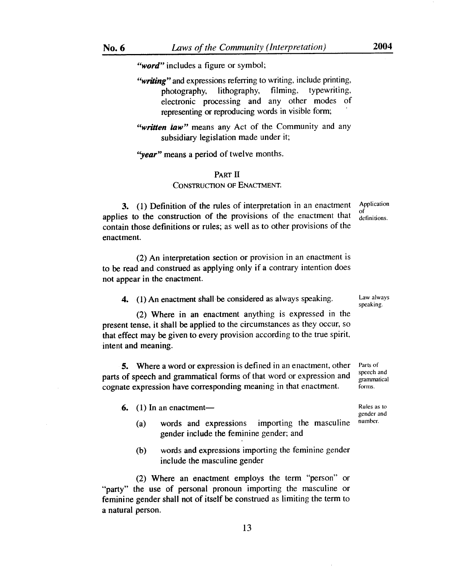*"word"* includes a figure or symbol;

*"writing"* and expressions referring to writing, include printing, photography, lithography, filming, typewriting, electronic processing and any other modes of representing or reproducing words in visible form;

*"written taw"* means any Act of the Community and any subsidiary legislation made under it;

*"year"* means a period of twelve months.

### PART **II**  CONSTRUCTION OF ENACTMENT.

Application of definitions.

3. (1) Definition of the rules of interpretation in an enactment applies to the construction of the provisions of the enactment that contain those definitions or rules; as well as to other provisions of the enactment.

(2) An interpretation section or provision in an enactment is to be read and construed as applying only if a contrary intention does not appear in the enactment.

4. (1) An enactment shall be considered as always speaking.

(2) Where in an enactment anything is expressed in the present tense, it shall be applied to the circumstances as they occur, so that effect may be given to every provision according to the true spirit, intent and meaning.

5. Where a word or expression is defined in an enactment, other parts of speech and grammatical forms of that word or expression and cognate expression have corresponding meaning in that enactment.

 $6.$  (1) In an enactment—

- (a) words and expressions importing the masculine gender include the feminine gender; and
- (b) words and expressions importing the feminine gender include the masculine gender

(2) Where an enactment employs the term "person" or "party" the use of personal pronoun importing the masculine or feminine gender shall not of itself be construed as limiting the term to a natural person.

Law always speaking.

Parts of speech and grammatical forms.

Rules as to gender and number.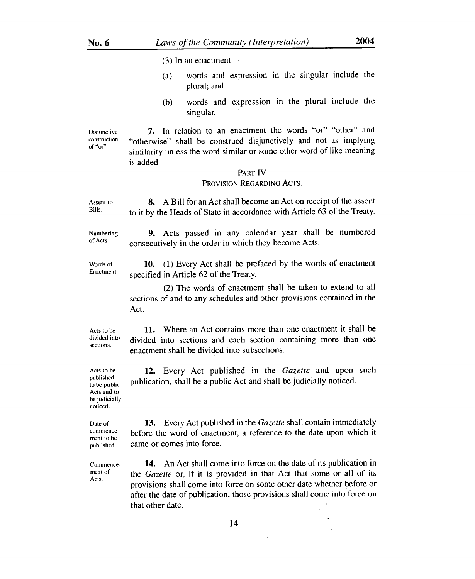(3) In an enactment—

- (a) words and expression in the singular include the plural; and
- (b) words and expression in the plural include the singular.

Disjunctive construction of "or".

Assent to Bills.

Numbering of Acts.

Words of Enactment.

7. In relation to an enactment the words "or" "other" and "otherwise" shall be construed disjunctively and not as implying similarity unless the word similar or some other word of like meaning is added

### PART IV

### PROVISION REGARDING ACTS.

8. A Bill for an Act shall become an Act on receipt of the assent to it by the Heads of State in accordance with Article 63 of the Treaty.

9. Acts passed in any calendar year shall be numbered consecutively in the order in which they become Acts.

10. (1) Every Act shall be prefaced by the words of enactment specified in Article 62 of the Treaty.

(2) The words of enactment shall be taken to extend to all sections of and to any schedules and other provisions contained in the Act.

Acts to be divided into sections.

11. Where an Act contains more than one enactment it shall be divided into sections and each section containing more than one enactment shall be divided into subsections.

12. Every Act published in the *Gazette* and upon such publication, shall be a public Act and shall be judicially noticed.

published, to be public Acts and to be judicially noticed.

Acts to be

Date of commence ment to be published.

13. Every Act published in the *Gazette* shall contain immediately before the word of enactment, a reference to the date upon which it came or comes into force.

Acts

Commence- **14.** An Act shall come into force on the date of its publication in the *Gazette* or, if it is provided in that Act that some or all of its provisions shall come into force on some other date whether before or after the date of publication, those provisions shall come into force on that other date.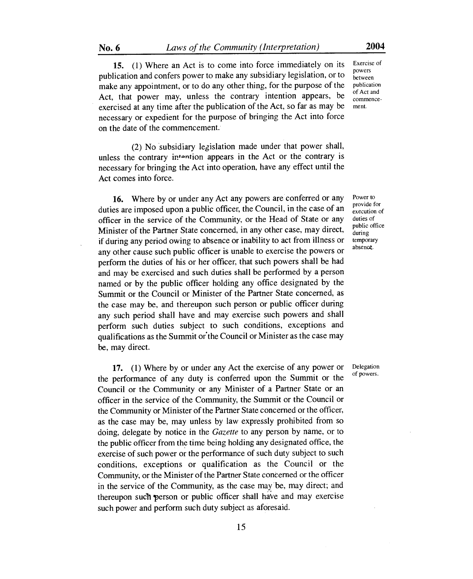**15.** (1) Where an Act is to come into force immediately on its Exercise of publication and confers power to make any subsidiary legislation, or to  $\frac{power}{between}$ make any appointment, or to do any other thing, for the purpose of the publication Act, that power may, unless the contrary intention appears, be  $\frac{1}{\text{commence}}$ exercised at any time after the publication of the Act, so far as may be ment. necessary or expedient for the purpose of bringing the Act into force on the date of the commencement.

(2) No subsidiary legislation made under that power shall, unless the contrary in-ntion appears in the Act or the contrary is necessary for bringing the Act into operation, have any effect until the Act comes into force.

16. Where by or under any Act any powers are conferred or any duties are imposed upon a public officer, the Council, in the case of an officer in the service of the Community, or the Head of State or any Minister of the Partner State concerned, in any other case, may direct, if during any period owing to absence or inability to act from illness or any other cause such public officer is unable to exercise the powers or perform the duties of his or her officer, that such powers shall be had and may be exercised and such duties shall be performed by a person named or by the public officer holding any office designated by the Summit or the Council or Minister of the Partner State concerned, as the case may be, and thereupon such person or public officer during any such period shall have and may exercise such powers and shall perform such duties subject to such conditions, exceptions and qualifications as the Summit or the Council or Minister as the case may be, may direct.

17. (1) Where by or under any Act the exercise of any power or the performance of any duty is conferred upon the Summit or the Council or the Community or any Minister of a Partner State or an officer in the service of the Community, the Summit or the Council or the Community or Minister of the Partner State concerned or the officer, as the case may be, may unless by law expressly prohibited from so doing, delegate by notice in the *Gazette* to any person by name, or to the public officer from the time being holding any designated office, the exercise of such power or the performance of such duty subject to such conditions, exceptions or qualification as the Council or the Community, or the Minister of the Partner State concerned or the officer in the service of the Community, as the case may be, may direct; and thereupon such 'person or public officer shall have and may exercise such power and perform such duty subject as aforesaid.

Power to provide for execution of duties of public office during temporary absence.

Delegation of powers.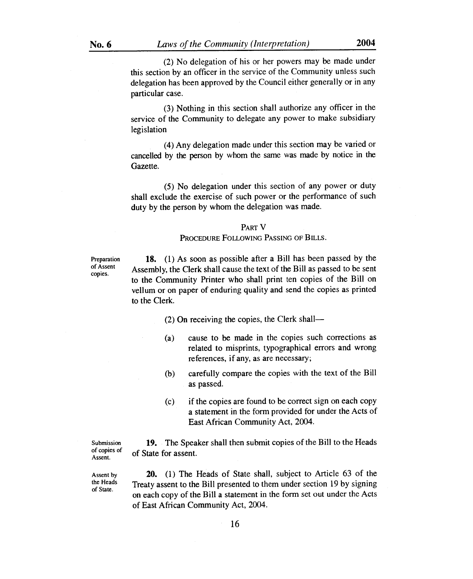(2) No delegation of his or her powers may be made under this section by an officer in the service of the Community unless such delegation has been approved by the Council either generally or in any particular case.

(3) Nothing in this section shall authorize any officer in the service of the Community to delegate any power to make subsidiary legislation

(4) Any delegation made under this section may be varied or cancelled by the person by whom the same was made by notice in the Gazette.

(5) No delegation under this section of any power or duty shall exclude the exercise of such power or the performance of such duty by the person by whom the delegation was made.

### PART V

#### PROCEDURE FOLLOWING PASSING OF BILLS.

Preparation of Assent copies.

**18.** (1) As soon as possible after a Bill has been passed by the Assembly, the Clerk shall cause the text of the Bill as passed to be sent to the Community Printer who shall print ten copies of the Bill on vellum or on paper of enduring quality and send the copies as printed to the Clerk.

- (2) On receiving the copies, the Clerk shall—
- (a) cause to be made in the copies such corrections as related to misprints, typographical errors and wrong references, if any, as are necessary;
- (b) carefully compare the copies with the text of the Bill as passed.
- (c) if the copies are found to be correct sign on each copy a statement in the form provided for under the Acts of East African Community Act, 2004.

Submission of copies of Assent.

**19.** The Speaker shall then submit copies of the Bill to the Heads of State for assent.

Assent by the Heads of State.

**20.** (1) The Heads of State shall, subject to Article 63 of the Treaty assent to the Bill presented to them under section 19 by signing on each copy of the Bill a statement in the form set out under the Acts of East African Community Act, 2004.

16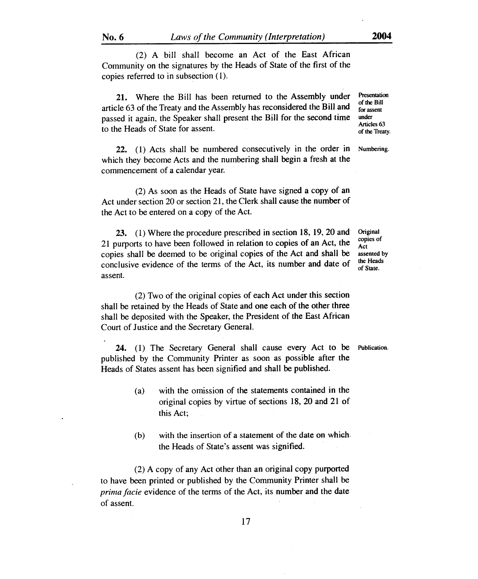(2) A bill shall become an Act of the East African Community on the signatures by the Heads of State of the first of the copies referred to in subsection (1).

21. Where the Bill has been returned to the Assembly under Presentation article 63 of the Treaty and the Assembly has reconsidered the Bill and  $\frac{60 \text{ m/s}}{60 \text{ s}}$ passed it again, the Speaker shall present the Bill for the second time under Articles 63 to the Heads of State for assent.

22. (1) Acts shall be numbered consecutively in the order in Numbering. which they become Acts and the numbering shall begin a fresh at the commencement of a calendar year.

(2) As soon as the Heads of State have signed a copy of an Act under section 20 or section 21, the Clerk shall cause the number of the Act to be entered on a copy of the Act.

23. (1) Where the procedure prescribed in section 18, 19, 20 and 21 purports to have been followed in relation to copies of an Act, the copies shall be deemed to be original copies of the Act and shall be conclusive evidence of the terms of the Act, its number and date of assent.

(2) Two of the original copies of each Act under this section shall be retained by the Heads of State and one each of the other three shall be deposited with the Speaker, the President of the East African Court of Justice and the Secretary General.

24. (1) The Secretary General shall cause every Act to be Publication. published by the Community Printer as soon as possible after the Heads of States assent has been signified and shall be published.

- (a) with the omission of the statements contained in the original copies by virtue of sections 18, 20 and 21 of this Act;
- (b) with the insertion of a statement of the date on which the Heads of State's assent was signified.

(2) A copy of any Act other than an original copy purported to have been printed or published by the Community Printer shall be *prima facie* evidence of the terms of the Act, its number and the date of assent.

**Original** copies of Act assented by the Heads of State.

of the Treaty.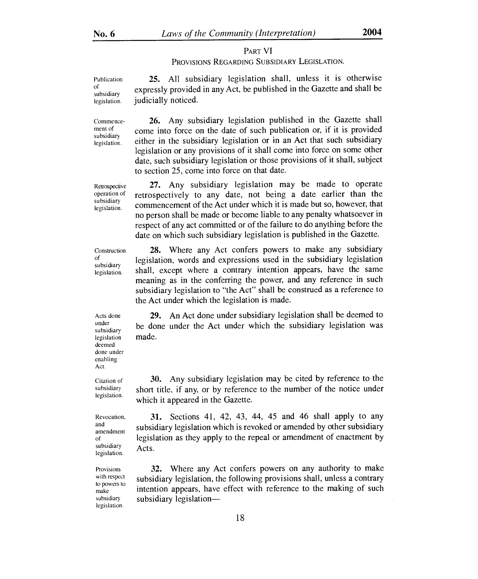### PART VI

### PROVISIONS REGARDING SUBSIDIARY LEGISLATION.

Publication subsidiary legislation. 25. All subsidiary legislation shall, unless it is otherwise expressly provided in any Act, be published in the Gazette and shall be judicially noticed.

> 26. Any subsidiary legislation published in the Gazette shall come into force on the date of such publication or, if it is provided either in the subsidiary legislation or in an Act that such subsidiary legislation or any provisions of it shall come into force on some other date, such subsidiary legislation or those provisions of it shall, subject to section 25, come into force on that date.

> 27. Any subsidiary legislation may be made to operate retrospectively to any date, not being a date earlier than the commencement of the Act under which it is made but so, however, that no person shall be made or become liable to any penalty whatsoever in respect of any act committed or of the failure to do anything before the date on which such subsidiary legislation is published in the Gazette.

> 28. Where any Act confers powers to make any subsidiary legislation, words and expressions used in the subsidiary legislation shall, except where a contrary intention appears, have the same meaning as in the conferring the power, and any reference in such subsidiary legislation to "the Act" shall be construed as a reference to the Act under which the legislation is made.

29. An Act done under subsidiary legislation shall be deemed to be done under the Act under which the subsidiary legislation was made.

30. Any subsidiary legislation may be cited by reference to the short title, if any, or by reference to the number of the notice under which it appeared in the Gazette.

31. Sections 41, 42, 43, 44, 45 and 46 shall apply to any subsidiary legislation which is revoked or amended by other subsidiary legislation as they apply to the repeal or amendment of enactment by Acts.

32. Where any Act confers powers on any authority to make subsidiary legislation, the following provisions shall, unless a contrary intention appears, have effect with reference to the making of such subsidiary legislation-

Acts done under subsidiary legislation deemed done under enabling Act.

Citation of subsidiary legislation.

Revocation, and amendment of subsidiary legislation.

Provisions with respect to powers to make subsidiary legislation.

of

Commencement of subsidiary legislation.

Retrospective operation of subsidiary legislation.

Construction of subsidiary legislation.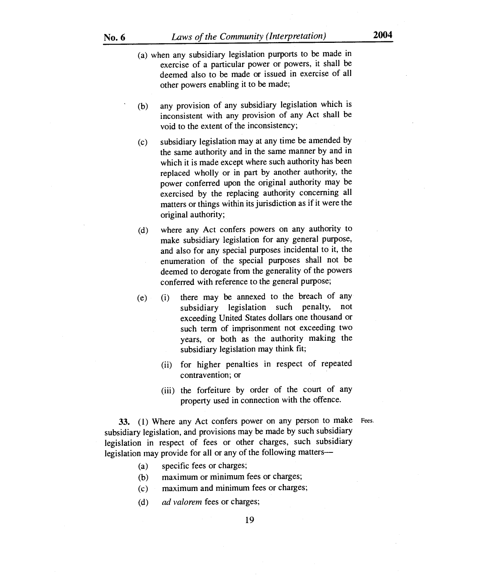- (a) when any subsidiary legislation purports to be made in exercise of a particular power or powers, it shall be deemed also to be made or issued in exercise of all other powers enabling it to be made;
- (b) any provision of any subsidiary legislation which is inconsistent with any provision of any Act shall be void to the extent of the inconsistency;
- (c) subsidiary legislation may at any time be amended by the same authority and in the same manner by and in which it is made except where such authority has been replaced wholly or in part by another authority, the power conferred upon the original authority may be exercised by the replacing authority concerning all matters or things within its jurisdiction as if it were the original authority;
- (d) where any Act confers powers on any authority to make subsidiary legislation for any general purpose, and also for any special purposes incidental to it, the enumeration of the special purposes shall not be deemed to derogate from the generality of the powers conferred with reference to the general purpose;
- (e) (i) there may be annexed to the breach of any subsidiary legislation such penalty, not exceeding United States dollars one thousand or such term of imprisonment not exceeding two years, or both as the authority making the subsidiary legislation may think fit;
	- (ii) for higher penalties in respect of repeated contravention; or
	- (iii) the forfeiture by order of the court of any property used in connection with the offence.

33. (1) Where any Act confers power on any person to make Fees. subsidiary legislation, and provisions may be made by such subsidiary legislation in respect of fees or other charges, such subsidiary legislation may provide for all or any of the following matters—

- (a) specific fees or charges;
- (b) maximum or minimum fees or charges;
- (c) maximum and minimum fees or charges;
- *(d) ad valorem* fees or charges;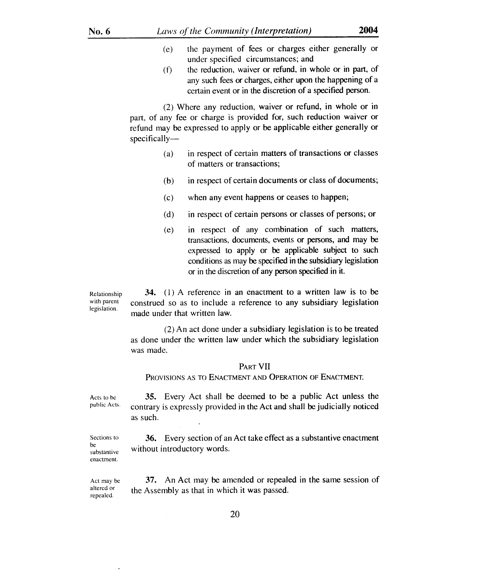- (e) the payment of fees or charges either generally or under specified circumstances; and
	- (f) the reduction, waiver or refund, in whole or in part, of any such fees or charges, either upon the happening of a certain event or in the discretion of a specified person.

(2) Where any reduction, waiver or refund, in whole or in part, of any fee or charge is provided for, such reduction waiver or refund may be expressed to apply or be applicable either generally or specifically—

- (a) in respect of certain matters of transactions or classes of matters or transactions;
- (b) in respect of certain documents or class of documents;
- (c) when any event happens or ceases to happen;
- (d) in respect of certain persons or classes of persons; or
- (e) in respect of any combination of such matters, transactions, documents, events or persons, and may be expressed to apply or be applicable subject to such conditions as may be specified in the subsidiary legislation or in the discretion of any person specified in it.

Relationship with parent legislation. 34. (1) A reference in an enactment to a written law is to be construed so as to include a reference to any subsidiary legislation made under that written law.

> (2) An act done under a subsidiary legislation is to be treated as done under the written law under which the subsidiary legislation was made.

### PART VII

PROVISIONS AS TO ENACTMENT AND OPERATION OF ENACTMENT.

Acts to be public Acts. 35. Every Act shall be deemed to be a public Act unless the contrary is expressly provided in the Act and shall be judicially noticed as such.

Sections to substantive 36. Every section of an Act take effect as a substantive enactment without introductory words.

Act may be 37. An Act may be amended or repealed in the same session of altered or the Assembly as that in which it was passed. repealed.

be

enactment.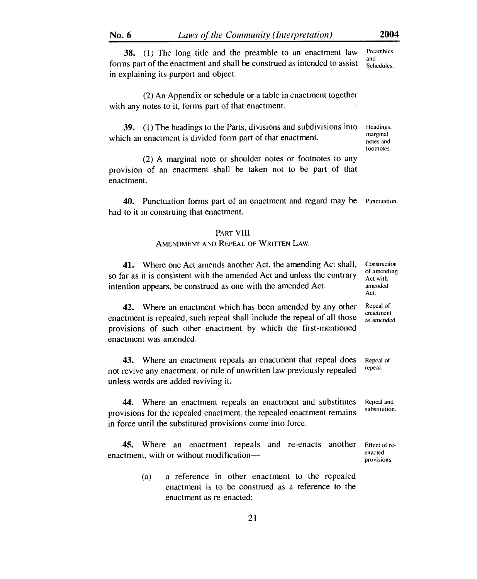38. (1) The long title and the preamble to an enactment law Preambles forms part of the enactment and shall be construed as intended to assist  $\frac{d}{s_{\text{chedules}}}\$ in explaining its purport and object.

(2) An Appendix or schedule or a table in enactment together with any notes to it, forms part of that enactment.

39. (1) The headings to the Parts, divisions and subdivisions into Headings,  $\frac{1}{2}$ which an enactment is divided form part of that enactment. notes and

(2) A marginal note or shoulder notes or footnotes to any provision of an enactment shall be taken not to be part of that enactment.

40. Punctuation forms part of an enactment and regard may be Punctuation. had to it in construing that enactment.

### PART VIII

# AMENDMENT AND REPEAL OF WRITTEN LAW.

41. Where one Act amends another Act, the amending Act shall, so far as it is consistent with the amended Act and unless the contrary intention appears, be construed as one with the amended Act.

42. Where an enactment which has been amended by any other enactment is repealed, such repeal shall include the repeal of all those provisions of such other enactment by which the first-mentioned enactment was amended.

43. Where an enactment repeals an enactment that repeal does Repeal of repeal of the property repeal repeal. not revive any enactment, or rule of unwritten law previously repealed unless words are added reviving it.

44. Where an enactment repeals an enactment and substitutes provisions for the repealed enactment, the repealed enactment remains in force until the substituted provisions come into force.

45. Where an enactment repeals and re-enacts another Effect of re-<br>enacted enacted enactment, with or without modification—

> (a) a reference in other enactment to the repealed enactment is to be construed as a reference to the enactment as re-enacted;

Construction of amending Act with amended Act.

Repeal of enactment as amended.

Repeal and substitution.

provisions.

footnotes.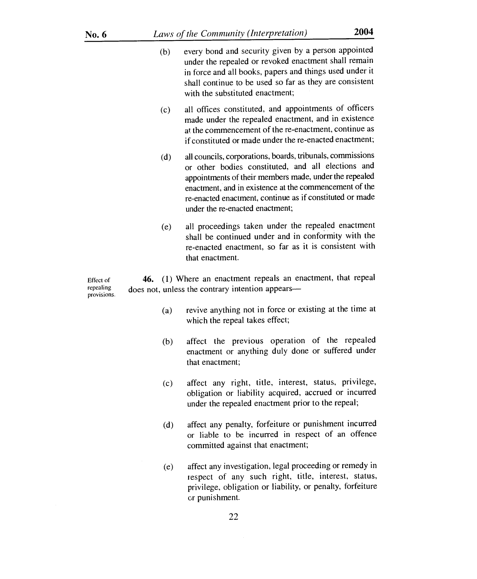| No. 6                                 |                                                                                                                     | 2004<br>Laws of the Community (Interpretation)                                                                                                                                                                                                                                                                                      |  |
|---------------------------------------|---------------------------------------------------------------------------------------------------------------------|-------------------------------------------------------------------------------------------------------------------------------------------------------------------------------------------------------------------------------------------------------------------------------------------------------------------------------------|--|
|                                       | (b)                                                                                                                 | every bond and security given by a person appointed<br>under the repealed or revoked enactment shall remain<br>in force and all books, papers and things used under it<br>shall continue to be used so far as they are consistent<br>with the substituted enactment;                                                                |  |
|                                       | (c)                                                                                                                 | all offices constituted, and appointments of officers<br>made under the repealed enactment, and in existence<br>at the commencement of the re-enactment, continue as<br>if constituted or made under the re-enacted enactment;                                                                                                      |  |
|                                       | (d)                                                                                                                 | all councils, corporations, boards, tribunals, commissions<br>or other bodies constituted, and all elections and<br>appointments of their members made, under the repealed<br>enactment, and in existence at the commencement of the<br>re-enacted enactment, continue as if constituted or made<br>under the re-enacted enactment; |  |
|                                       | (e)                                                                                                                 | all proceedings taken under the repealed enactment<br>shall be continued under and in conformity with the<br>re-enacted enactment, so far as it is consistent with<br>that enactment.                                                                                                                                               |  |
| Effect of<br>repealing<br>provisions. | (1) Where an enactment repeals an enactment, that repeal<br>46.<br>does not, unless the contrary intention appears- |                                                                                                                                                                                                                                                                                                                                     |  |
|                                       | (a)                                                                                                                 | revive anything not in force or existing at the time at<br>which the repeal takes effect;                                                                                                                                                                                                                                           |  |
|                                       | (b)                                                                                                                 | affect the previous operation of the repealed<br>enactment or anything duly done or suffered under<br>that enactment;                                                                                                                                                                                                               |  |
|                                       | (c)                                                                                                                 | affect any right, title, interest, status, privilege,<br>obligation or liability acquired, accrued or incurred<br>under the repealed enactment prior to the repeal;                                                                                                                                                                 |  |
|                                       | (d)                                                                                                                 | affect any penalty, forfeiture or punishment incurred<br>or liable to be incurred in respect of an offence<br>committed against that enactment;                                                                                                                                                                                     |  |

(e) affect any investigation, legal proceeding or remedy in respect of any such right, title, interest, status, privilege, obligation or liability, or penalty, forfeiture or punishment.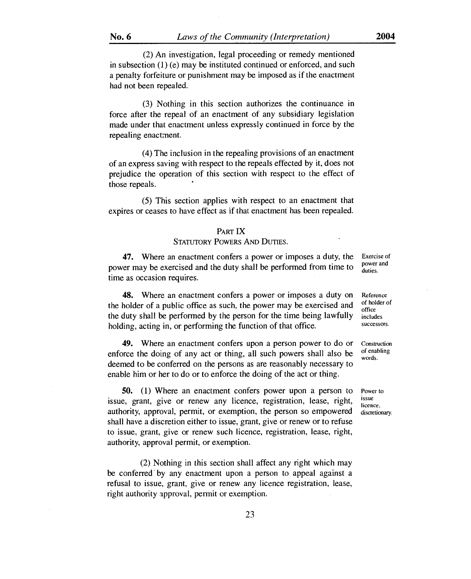(2) An investigation, legal proceeding or remedy mentioned in subsection (1) (e) may be instituted continued or enforced, and such a penalty forfeiture or punishment may be imposed as if the enactment had not been repealed.

(3) Nothing in this section authorizes the continuance in force after the repeal of an enactment of any subsidiary legislation made under that enactment unless expressly continued in force by the repealing enactment.

(4) The inclusion in the repealing provisions of an enactment of an express saving with respect to the repeals effected by it, does not prejudice the operation of this section with respect to the effect of those repeals.

(5) This section applies with respect to an enactment that expires or ceases to have effect as if that enactment has been repealed.

#### PART IX

### STATUTORY POWERS AND DUTIES.

47. Where an enactment confers a power or imposes a duty, the power may be exercised and the duty shall be performed from time to time as occasion requires.

48. Where an enactment confers a power or imposes a duty on the holder of a public office as such, the power may be exercised and the duty shall be performed by the person for the time being lawfully holding, acting in, or performing the function of that office.

49. Where an enactment confers upon a person power to do or enforce the doing of any act or thing, all such powers shall also be deemed to be conferred on the persons as are reasonably necessary to enable him or her to do or to enforce the doing of the act or thing.

50. (1) Where an enactment confers power upon a person to issue, grant, give or renew any licence, registration, lease, right, authority, approval, permit, or exemption, the person so empowered shall have a discretion either to issue, grant, give or renew or to refuse to issue, grant, give or renew such licence, registration, lease, right, authority, approval permit, or exemption.

(2) Nothing in this section shall affect any right which may be conferred' by any enactment upon a person to appeal against a refusal to issue, grant, give or renew any licence registration, lease, right authority approval, permit or exemption.

Exercise of power and duties.

Reference of holder of office includes successors.

Construction of enabling words.

Power to issue licence, discretionary.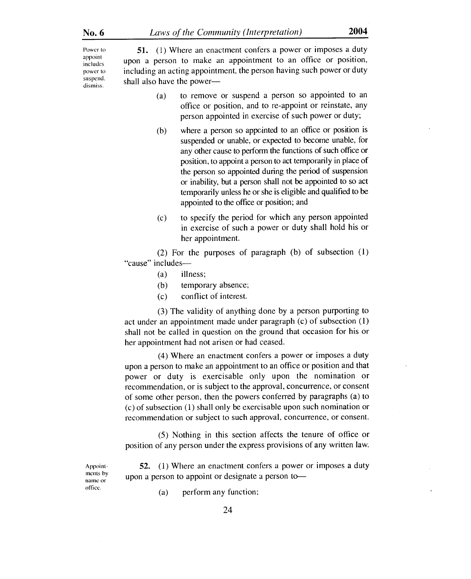Power to **51.** (1) Where an enactment confers a power or imposes a duty appoint appoint upon a person to make an appointment to an office or position, power to including an acting appointment, the person having such power or duty suspend.  $shall$  also have the power—

- (a) to remove or suspend a person so appointed to an office or position, and to re-appoint or reinstate, any person appointed in exercise of such power or duty;
- (b) where a person so appointed to an office or position is suspended or unable, or expected to become unable, for any other cause to perform the functions of such office or position, to appoint a person to act temporarily in place of the person so appointed during the period of suspension or inability, but a person shall not be appointed to so act temporarily unless he or she is eligible and qualified to be appointed to the office or position; and
- (c) to specify the period for which any person appointed in exercise of such a power or duty shall hold his or her appointment.

(2) For the purposes of paragraph (b) of subsection (1) "cause" includes—

- (a) illness;
- (b) temporary absence;
- (c) conflict of interest.

(3) The validity of anything done by a person purporting to act under an appointment made under paragraph (c) of subsection (1) shall not be called in question on the ground that occasion for his or her appointment had not arisen or had ceased.

(4) Where an enactment confers a power or imposes a duty upon a person to make an appointment to an office or position and that power or duty is exercisable only upon the nomination or recommendation, or is subject to the approval, concurrence, or consent of some other person, then the powers conferred by paragraphs (a) to (c) of subsection (1) shall only be exercisable upon such nomination or recommendation or subject to such approval, concurrence, or consent.

(5) Nothing in this section affects the tenure of office or position of any person under the express provisions of any written law.

Appointments by name or office.

52. (1) Where an enactment confers a power or imposes a duty upon a person to appoint or designate a person to—

(a) perform any function;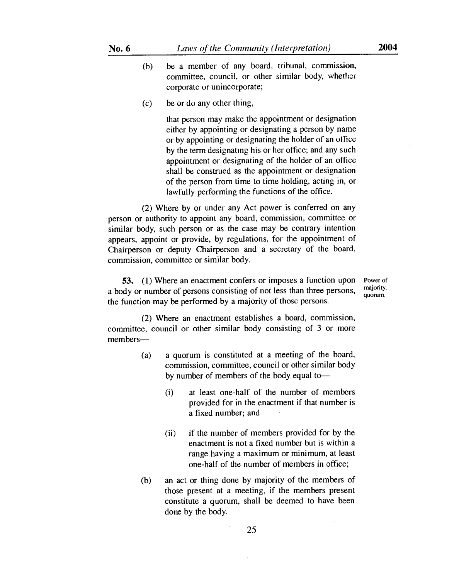- (b) be a member of any board, tribunal, commission, committee, council, or other similar body, whether corporate or unincorporate;
- (c) be or do any other thing,

that person may make the appointment or designation either by appointing or designating a person by name or by appointing or designating the holder of an office by the term designating his or her office; and any such appointment or designating of the holder of an office shall be construed as the appointment or designation of the person from time to time holding, acting in, or lawfully performing the functions of the office.

(2) Where by or under any Act power is conferred on any person or authority to appoint any board, commission, committee or similar body, such person or as the case may be contrary intention appears, appoint or provide, by regulations, for the appointment of Chairperson or deputy Chairperson and a secretary of the board, commission, committee or similar body.

**53. (1)** Where an enactment confers or imposes a function upon a body or number of persons consisting of not less than three persons, the function may be performed by a majority of those persons.

Power of majority, quorum.

(2) Where an enactment establishes a board, commission, committee, council or other similar body consisting of 3 or more members—

- (a) a quorum is constituted at a meeting of the board, commission, committee, council or other similar body by number of members of the body equal to-
	- (i) at least one-half of the number of members provided for in the enactment if that number is a fixed number; and
	- (ii) if the number of members provided for by the enactment is not a fixed number but is within a range having a maximum or minimum, at least one-half of the number of members in office;
- (b) an act or thing done by majority of the members of those present at a meeting, if the members present constitute a quorum, shall be deemed to have been done by the body.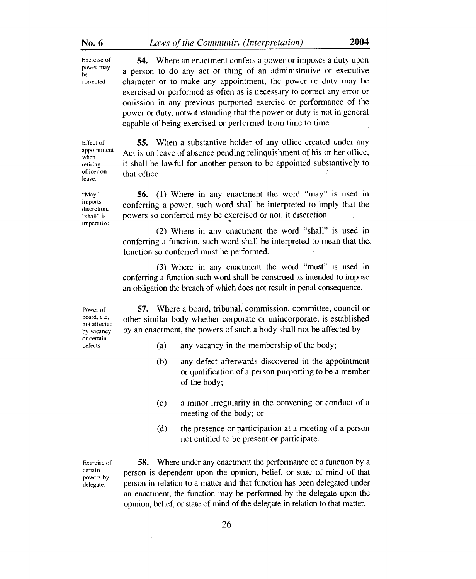| No. 6                                   | Laws of the Community (Interpretation)                                                                                             |  |
|-----------------------------------------|------------------------------------------------------------------------------------------------------------------------------------|--|
| Exercise of                             | <b>54.</b> Where an enactment confers a power or imposes a duty upon                                                               |  |
| power may<br><sub>be</sub><br>corrected | a person to do any act or thing of an administrative or executive<br>character or to make any annointment the nower or duty may be |  |

be a person to do any act of thing of an administrative of executive<br>corrected. character or to make any appointment, the power or duty may be exercised or performed as often as is necessary to correct any error or omission in any previous purported exercise or performance of the power or duty, notwithstanding that the power or duty is not in general capable of being exercised or performed from time to time.

Effect of appointment when retiring officer on leave.

"May" imports discretion, "shall" is imperative. it shall be lawful for another person to be appointed substantively to that office.

55. Wien a substantive holder of any office created Lnder any Act is on leave of absence pending relinquishment of his or her office,

56. (1) Where in any enactment the word "may" is used in conferring a power, such word shall be interpreted to imply that the powers so conferred may be exercised or not, it discretion.

(2) Where in any enactment the word "shall" is used in conferring a function, such word shall be interpreted to mean that the, function so conferred must be performed.

(3) Where in any enactment the word "must" is used in conferring a function such word shall be construed as intended to impose an obligation the breach of which does not result in penal consequence.

Power of board, etc, not affected by vacancy or certain defects.

57. Where a board, tribunal, commission, committee, council or other similar body whether corporate or unincorporate, is established by an enactment, the powers of such a body shall not be affected by—

- (a) any vacancy in the membership of the body;
- (b) any defect afterwards discovered in the appointment or qualification of a person purporting to be a member of the body;
- (c) a minor irregularity in the convening or conduct of a meeting of the body; or
- (d) the presence or participation at a meeting of a person not entitled to be present or participate.

Exercise of certain powers by delegate.

58. Where under any enactment the performance of a function by a person is dependent upon the opinion, belief, or state of mind of that person in relation to a matter and that function has been delegated under an enactment, the function may be performed by the delegate upon the opinion, belief, or state of mind of the delegate in relation to that matter.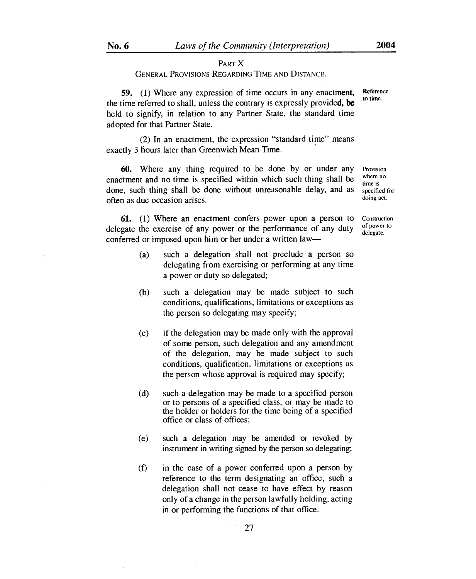### PART X GENERAL PROVISIONS REGARDING TIME AND DISTANCE.

59. (1) Where any expression of time occurs in any enactment, the time referred to shall, unless the contrary is expressly provided, **be**  held to signify, in relation to any Partner State, the standard time adopted for that Partner State.

(2) In an enactment, the expression "standard time" means exactly 3 hours later than Greenwich Mean Time.

60. Where any thing required to be done by or under any enactment and no time is specified within which such thing shall be done, such thing shall be done without unreasonable delay, and as often as due occasion arises. Provision

61. (1) Where an enactment confers power upon a person to delegate the exercise of any power or the performance of any duty conferred or imposed upon him or her under a written law—

- (a) such a delegation shall not preclude a person so delegating from exercising or performing at any time a power or duty so delegated;
- (b) such a delegation may be made subject to such conditions, qualifications, limitations or exceptions as the person so delegating may specify;
- (c) if the delegation may be made only with the approval of some person, such delegation and any amendment of the delegation, may be made subject to such conditions, qualification, limitations or exceptions as the person whose approval is required may specify;
- (d) such a delegation may be made to a specified person or to persons of a specified class, or may be made to the holder or holders for the time being of a specified office or class of offices;
- (e) such a delegation may be amended or revoked by instrument in writing signed by the person so delegating;
- (f) in the case of a power conferred upon a person by reference to the term designating an office, such a delegation shall not cease to have effect by reason only of a change in the person lawfully holding, acting in or performing the functions of that office.

where no time is specified for doing act.

Construction of power to delegate.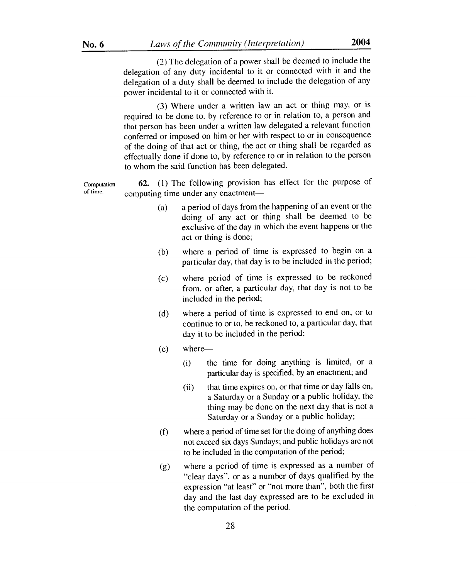(2) The delegation of a power shall be deemed to include the delegation of any duty incidental to it or connected with it and the delegation of a duty shall be deemed to include the delegation of any power incidental to it or connected with it.

(3) Where under a written law an act or thing may, or is required to be done to, by reference to or in relation to, a person and that person has been under a written law delegated a relevant function conferred or imposed on him or her with respect to or in consequence of the doing of that act or thing, the act or thing shall be regarded as effectually done if done to, by reference to or in relation to the person to whom the said function has been delegated.

Computation 62. (1) The following provision has effect for the purpose of of time. computing time under any enactment—

- (a) a period of days from the happening of an event or the doing of any act or thing shall be deemed to be exclusive of the day in which the event happens or the act or thing is done;
- (b) where a period of time is expressed to begin on a particular day, that day is to be included in the period;
- (c) where period of time is expressed to be reckoned from, or after, a particular day, that day is not to be included in the period;
- (d) where a period of time is expressed to end on, or to continue to or to, be reckoned to, a particular day, that day it to be included in the period;
- $(e)$  where-
	- (i) the time for doing anything is limited, or a particular day is specified, by an enactment; and
	- (ii) that time expires on, or that time or day falls on, a Saturday or a Sunday or a public holiday, the thing may be done on the next day that is not a Saturday or a Sunday or a public holiday;
- (f) where a period of time set for the doing of anything does not exceed six days Sundays; and public holidays are not to be included in the computation of the period;
- *(g)* where a period of time is expressed as a number of "clear days", or as a number of days qualified by the expression "at least" or "not more than", both the first day and the last day expressed are to be excluded in the computation of the period.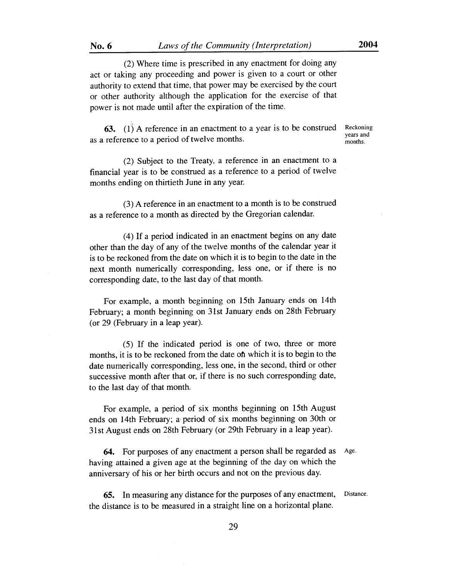**No. 6** *Laws of the Community (Interpretation)* **2004** 

(2) Where time is prescribed in any enactment for doing any act or taking any proceeding and power is given to a court or other authority to extend that time, that power may be exercised by the court or other authority although the application for the exercise of that power is not made until after the expiration of the time.

**63.** (1) A reference in an enactment to a year is to be construed Reckoning as a reference to a period of twelve months.

years and

(2) Subject to the Treaty, a reference in an enactment to a financial year is to be construed as a reference to a period of twelve months ending on thirtieth June in any year.

(3) A reference in an enactment to a month is to be construed as a reference to a month as directed by the Gregorian calendar.

(4) If a period indicated in an enactment begins on any date other than the day of any of the twelve months of the calendar year it is to be reckoned from the date on which it is to begin to the date in the next month numerically corresponding, less one, or if there is no corresponding date, to the last day of that month.

For example, a month beginning on 15th January ends on 14th February; a month beginning on 31st January ends on 28th February (or 29 (February in a leap year).

(5) If the indicated period is one of two, three or more months, it is to be reckoned from the date oh which it is to begin to the date numerically corresponding, less one, in the second, third or other successive month after that or, if there is no such corresponding date, to the last day of that month.

For example, a period of six months beginning on 15th August ends on 14th February; a period of six months beginning on 30th or 31st August ends on 28th February (or 29th February in a leap year).

64. For purposes of any enactment a person shall be regarded as having attained a given age at the beginning of the day on which the anniversary of his or her birth occurs and not on the previous day. Age.

65. In measuring any distance for the purposes of any enactment, the distance is to be measured in a straight line on a horizontal plane. Distance.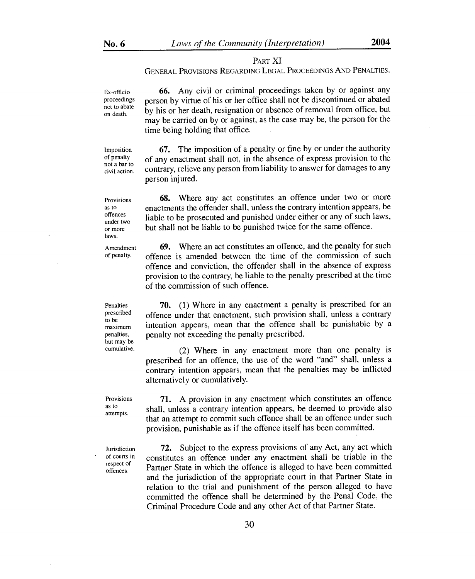### PART XI

GENERAL PROVISIONS REGARDING LEGAL PROCEEDINGS AND PENALTIES.

Ex-officio proceedings not to abate on death.

66. Any civil or criminal proceedings taken by or against any person by virtue of his or her office shall not be discontinued or abated by his or her death, resignation or absence of removal from office, but may be carried on by or against, as the case may be, the person for the time being holding that office.

Imposition of penalty not a bar to civil action.

Provisions as to offences under two or more laws.

67. The imposition of a penalty or fine by or under the authority of any enactment shall not, in the absence of express provision to the contrary, relieve any person from liability to answer for damages to any person injured.

68. Where any act constitutes an offence under two or more enactments the offender shall, unless the contrary intention appears, be liable to be prosecuted and punished under either or any of such laws, but shall not be liable to be punished twice for the same offence.

Amendment of penalty.

Penalties prescribed to be maximum penalties, but may be cumulative.

Provisions as to attempts.

Jurisdiction of courts in respect of offences.

69. Where an act constitutes an offence, and the penalty for such offence is amended between the time of the commission of such offence and conviction, the offender shall in the absence of express provision to the contrary, be liable to the penalty prescribed at the time of the commission of such offence.

70. (1) Where in any enactment a penalty is prescribed for an offence under that enactment, such provision shall, unless a contrary intention appears, mean that the offence shall be punishable by a penalty not exceeding the penalty prescribed.

(2) Where in any enactment more than one penalty is prescribed for an offence, the use of the word "and" shall, unless a contrary intention appears, mean that the penalties may be inflicted alternatively or cumulatively.

71. A provision in any enactment which constitutes an offence shall, unless a contrary intention appears, be deemed to provide also that an attempt to commit such offence shall be an offence under such provision, punishable as if the offence itself has been committed.

72. Subject to the express provisions of any Act, any act which constitutes an offence under any enactment shall be triable in the Partner State in which the offence is alleged to have been committed and the jurisdiction of the appropriate court in that Partner State in relation to the trial and punishment of the person alleged to have committed the offence shall be determined by the Penal Code, the Criminal Procedure Code and any other Act of that Partner State.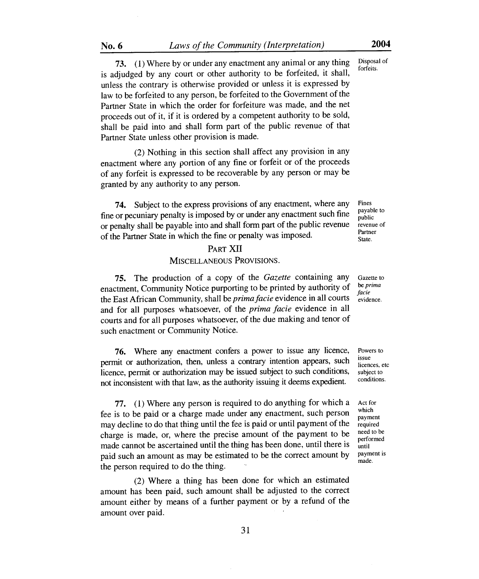73. (1) Where by or under any enactment any animal or any thing Disposal of  $C_1$ is adjudged by any court or other authority to be forfeited, it shall, unless the contrary is otherwise provided or unless it is expressed by law to be forfeited to any person, be forfeited to the Government of the Partner State in which the order for forfeiture was made, and the net proceeds out of it, if it is ordered by a competent authority to be sold, shall be paid into and shall form part of the public revenue of that Partner State unless other provision is made.

(2) Nothing in this section shall affect any provision in any enactment where any portion of any fine or forfeit or of the proceeds of any forfeit is expressed to be recoverable by any person or may be granted by any authority to any person.

74. Subject to the express provisions of any enactment, where any fine or pecuniary penalty is imposed by or under any enactment such fine or penalty shall be payable into and shall form part of the public revenue of the Partner State in which the fine or penalty was imposed.

# PART XII

### MISCELLANEOUS PROVISIONS.

75. The production of a copy of the *Gazette* containing any enactment, Community Notice purporting to be printed by authority of the East African Community, shall be *prima facie* evidence in all courts and for all purposes whatsoever, of the *prima facie* evidence in all courts and for all purposes whatsoever, of the due making and tenor of such enactment or Community Notice.

76. Where any enactment confers a power to issue any licence, permit or authorization, then, unless a contrary intention appears, such licence, permit or authorization may be issued subject to such conditions, not inconsistent with that law, as the authority issuing it deems expedient.

77. (1) Where any person is required to do anything for which a fee is to be paid or a charge made under any enactment, such person may decline to do that thing until the fee is paid or until payment of the charge is made, or, where the precise amount of the payment to be made cannot be ascertained until the thing has been done, until there is paid such an amount as may be estimated to be the correct amount by the person required to do the thing.

(2) Where a thing has been done for which an estimated amount has been paid, such amount shall be adjusted to the correct amount either by means of a further payment or by a refund of the amount over paid.

Fines payable to public revenue of Partner State.

Gazette to be *prima facie*  evidence.

Powers to issue licences, etc subject to conditions.

Act for which payment required need to be performed until payment is made.